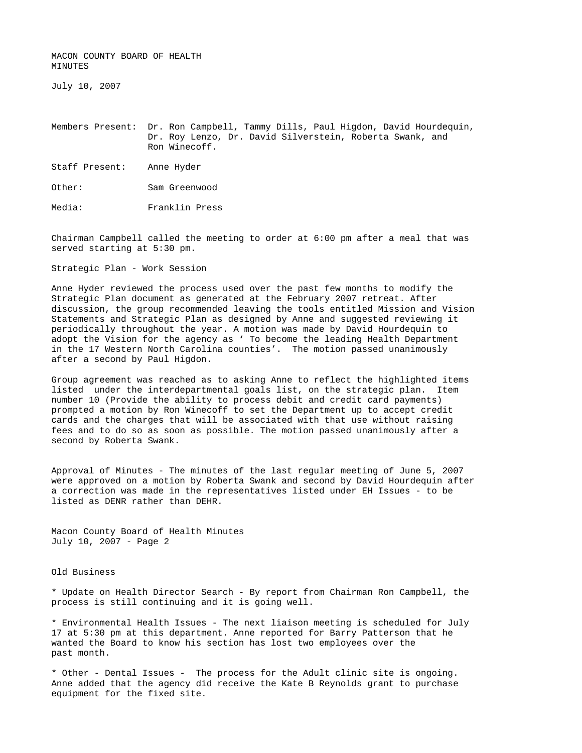MACON COUNTY BOARD OF HEALTH MINUTES

July 10, 2007

Members Present: Dr. Ron Campbell, Tammy Dills, Paul Higdon, David Hourdequin, Dr. Roy Lenzo, Dr. David Silverstein, Roberta Swank, and Ron Winecoff.

Staff Present: Anne Hyder

Other: Sam Greenwood

Media: Franklin Press

Chairman Campbell called the meeting to order at 6:00 pm after a meal that was served starting at 5:30 pm.

Strategic Plan - Work Session

Anne Hyder reviewed the process used over the past few months to modify the Strategic Plan document as generated at the February 2007 retreat. After discussion, the group recommended leaving the tools entitled Mission and Vision Statements and Strategic Plan as designed by Anne and suggested reviewing it periodically throughout the year. A motion was made by David Hourdequin to adopt the Vision for the agency as ' To become the leading Health Department in the 17 Western North Carolina counties'. The motion passed unanimously after a second by Paul Higdon.

Group agreement was reached as to asking Anne to reflect the highlighted items listed under the interdepartmental goals list, on the strategic plan. Item number 10 (Provide the ability to process debit and credit card payments) prompted a motion by Ron Winecoff to set the Department up to accept credit cards and the charges that will be associated with that use without raising fees and to do so as soon as possible. The motion passed unanimously after a second by Roberta Swank.

Approval of Minutes - The minutes of the last regular meeting of June 5, 2007 were approved on a motion by Roberta Swank and second by David Hourdequin after a correction was made in the representatives listed under EH Issues - to be listed as DENR rather than DEHR.

Macon County Board of Health Minutes July 10, 2007 - Page 2

Old Business

\* Update on Health Director Search - By report from Chairman Ron Campbell, the process is still continuing and it is going well.

\* Environmental Health Issues - The next liaison meeting is scheduled for July 17 at 5:30 pm at this department. Anne reported for Barry Patterson that he wanted the Board to know his section has lost two employees over the past month.

\* Other - Dental Issues - The process for the Adult clinic site is ongoing. Anne added that the agency did receive the Kate B Reynolds grant to purchase equipment for the fixed site.